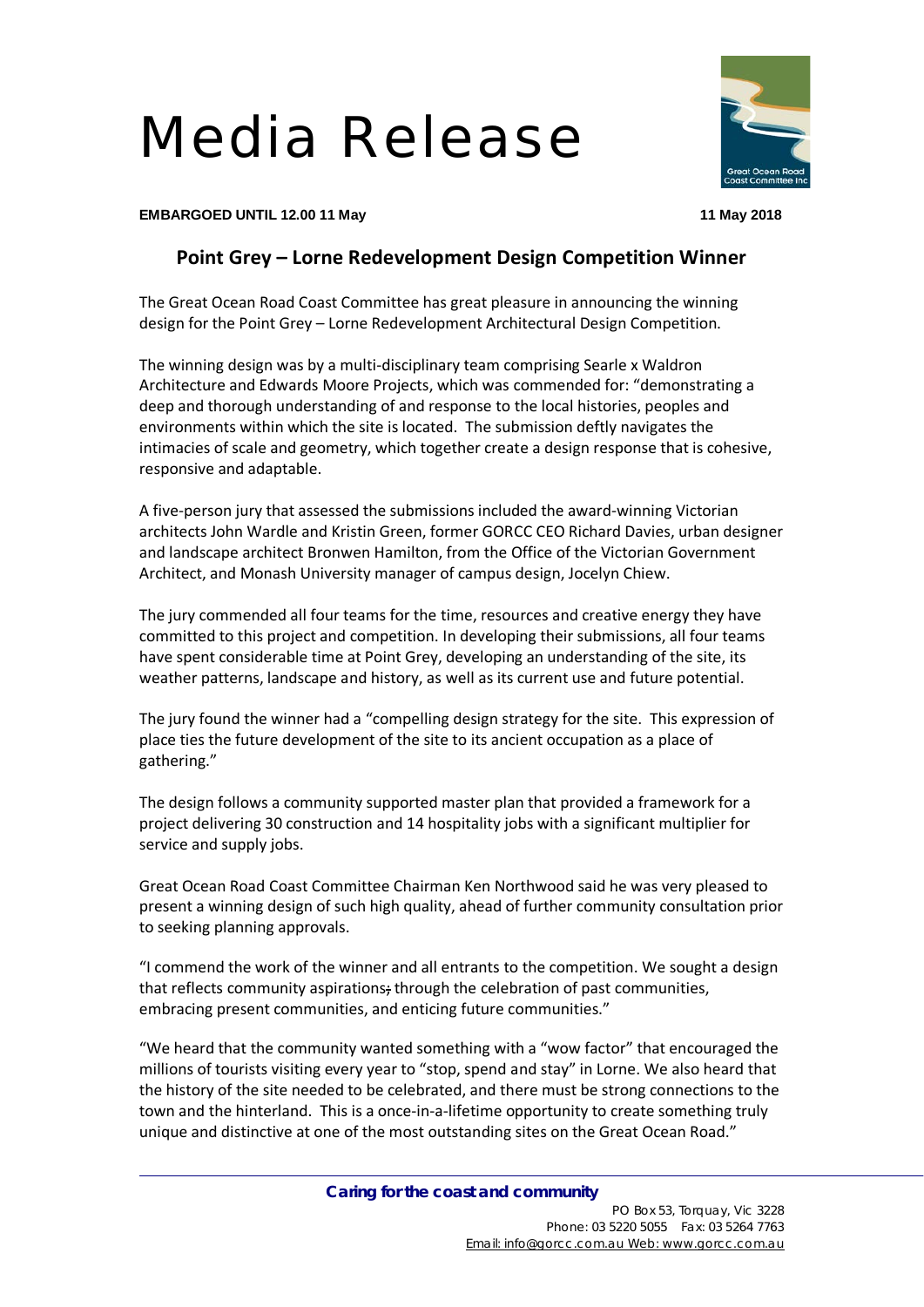## Media Release



**EMBARGOED UNTIL 12.00 11 May 11 May 2018**

## **Point Grey – Lorne Redevelopment Design Competition Winner**

The Great Ocean Road Coast Committee has great pleasure in announcing the winning design for the Point Grey – Lorne Redevelopment Architectural Design Competition.

The winning design was by a multi-disciplinary team comprising Searle x Waldron Architecture and Edwards Moore Projects, which was commended for: "demonstrating a deep and thorough understanding of and response to the local histories, peoples and environments within which the site is located. The submission deftly navigates the intimacies of scale and geometry, which together create a design response that is cohesive, responsive and adaptable.

A five-person jury that assessed the submissions included the award-winning Victorian architects John Wardle and Kristin Green, former GORCC CEO Richard Davies, urban designer and landscape architect Bronwen Hamilton, from the Office of the Victorian Government Architect, and Monash University manager of campus design, Jocelyn Chiew.

The jury commended all four teams for the time, resources and creative energy they have committed to this project and competition. In developing their submissions, all four teams have spent considerable time at Point Grey, developing an understanding of the site, its weather patterns, landscape and history, as well as its current use and future potential.

The jury found the winner had a "compelling design strategy for the site. This expression of place ties the future development of the site to its ancient occupation as a place of gathering."

The design follows a community supported master plan that provided a framework for a project delivering 30 construction and 14 hospitality jobs with a significant multiplier for service and supply jobs.

Great Ocean Road Coast Committee Chairman Ken Northwood said he was very pleased to present a winning design of such high quality, ahead of further community consultation prior to seeking planning approvals.

"I commend the work of the winner and all entrants to the competition. We sought a design that reflects community aspirations; through the celebration of past communities, embracing present communities, and enticing future communities."

"We heard that the community wanted something with a "wow factor" that encouraged the millions of tourists visiting every year to "stop, spend and stay" in Lorne. We also heard that the history of the site needed to be celebrated, and there must be strong connections to the town and the hinterland. This is a once-in-a-lifetime opportunity to create something truly unique and distinctive at one of the most outstanding sites on the Great Ocean Road."